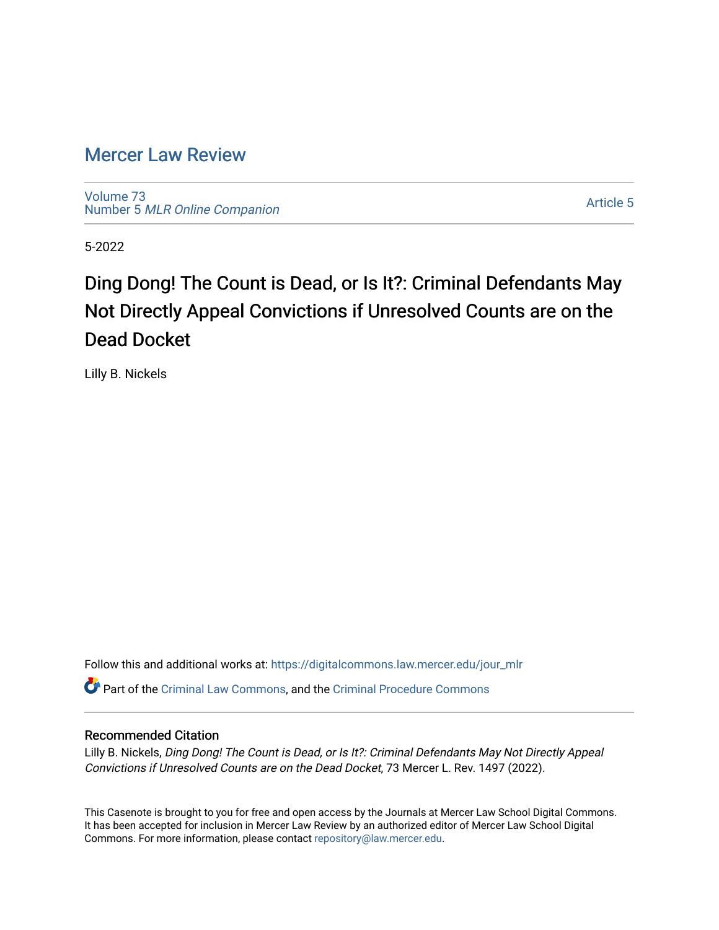## [Mercer Law Review](https://digitalcommons.law.mercer.edu/jour_mlr)

[Volume 73](https://digitalcommons.law.mercer.edu/jour_mlr/vol73) Number 5 [MLR Online Companion](https://digitalcommons.law.mercer.edu/jour_mlr/vol73/iss5) 

[Article 5](https://digitalcommons.law.mercer.edu/jour_mlr/vol73/iss5/5) 

5-2022

# Ding Dong! The Count is Dead, or Is It?: Criminal Defendants May Not Directly Appeal Convictions if Unresolved Counts are on the Dead Docket

Lilly B. Nickels

Follow this and additional works at: [https://digitalcommons.law.mercer.edu/jour\\_mlr](https://digitalcommons.law.mercer.edu/jour_mlr?utm_source=digitalcommons.law.mercer.edu%2Fjour_mlr%2Fvol73%2Fiss5%2F5&utm_medium=PDF&utm_campaign=PDFCoverPages) Part of the [Criminal Law Commons,](https://network.bepress.com/hgg/discipline/912?utm_source=digitalcommons.law.mercer.edu%2Fjour_mlr%2Fvol73%2Fiss5%2F5&utm_medium=PDF&utm_campaign=PDFCoverPages) and the [Criminal Procedure Commons](https://network.bepress.com/hgg/discipline/1073?utm_source=digitalcommons.law.mercer.edu%2Fjour_mlr%2Fvol73%2Fiss5%2F5&utm_medium=PDF&utm_campaign=PDFCoverPages)

### Recommended Citation

Lilly B. Nickels, Ding Dong! The Count is Dead, or Is It?: Criminal Defendants May Not Directly Appeal Convictions if Unresolved Counts are on the Dead Docket, 73 Mercer L. Rev. 1497 (2022).

This Casenote is brought to you for free and open access by the Journals at Mercer Law School Digital Commons. It has been accepted for inclusion in Mercer Law Review by an authorized editor of Mercer Law School Digital Commons. For more information, please contact [repository@law.mercer.edu.](mailto:repository@law.mercer.edu)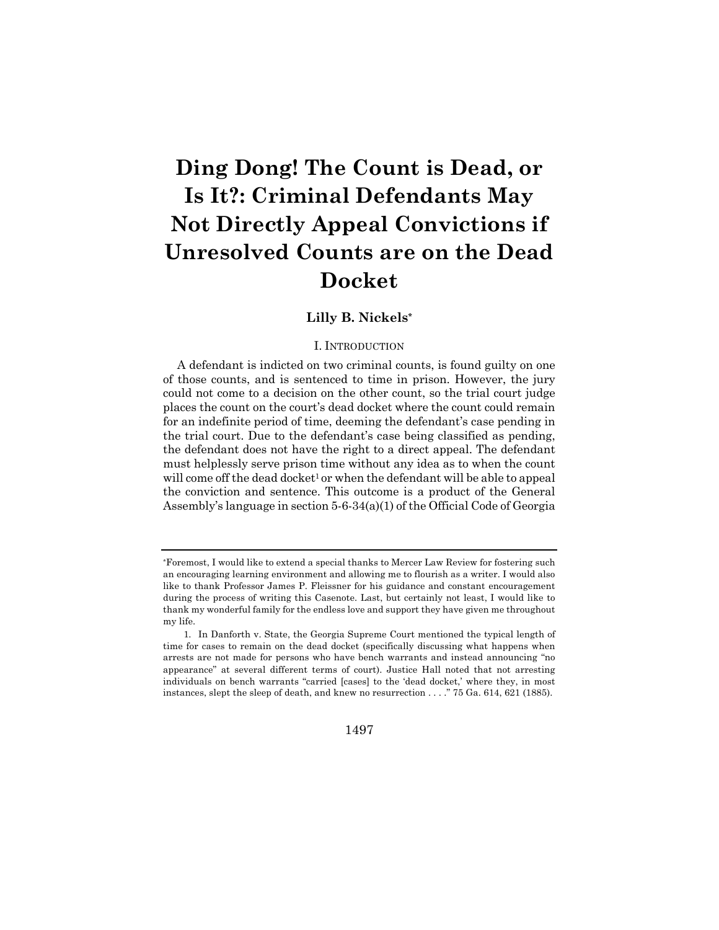# **Ding Dong! The Count is Dead, or Is It?: Criminal Defendants May Not Directly Appeal Convictions if Unresolved Counts are on the Dead Docket**

### **Lilly B. Nickels\***

#### I. INTRODUCTION

A defendant is indicted on two criminal counts, is found guilty on one of those counts, and is sentenced to time in prison. However, the jury could not come to a decision on the other count, so the trial court judge places the count on the court's dead docket where the count could remain for an indefinite period of time, deeming the defendant's case pending in the trial court. Due to the defendant's case being classified as pending, the defendant does not have the right to a direct appeal. The defendant must helplessly serve prison time without any idea as to when the count will come off the dead docket<sup>1</sup> or when the defendant will be able to appeal the conviction and sentence. This outcome is a product of the General Assembly's language in section 5-6-34(a)(1) of the Official Code of Georgia

1497

<sup>\*</sup>Foremost, I would like to extend a special thanks to Mercer Law Review for fostering such an encouraging learning environment and allowing me to flourish as a writer. I would also like to thank Professor James P. Fleissner for his guidance and constant encouragement during the process of writing this Casenote. Last, but certainly not least, I would like to thank my wonderful family for the endless love and support they have given me throughout my life.

<sup>1.</sup> In Danforth v. State, the Georgia Supreme Court mentioned the typical length of time for cases to remain on the dead docket (specifically discussing what happens when arrests are not made for persons who have bench warrants and instead announcing "no appearance" at several different terms of court). Justice Hall noted that not arresting individuals on bench warrants "carried [cases] to the 'dead docket,' where they, in most instances, slept the sleep of death, and knew no resurrection . . . ." 75 Ga. 614, 621 (1885).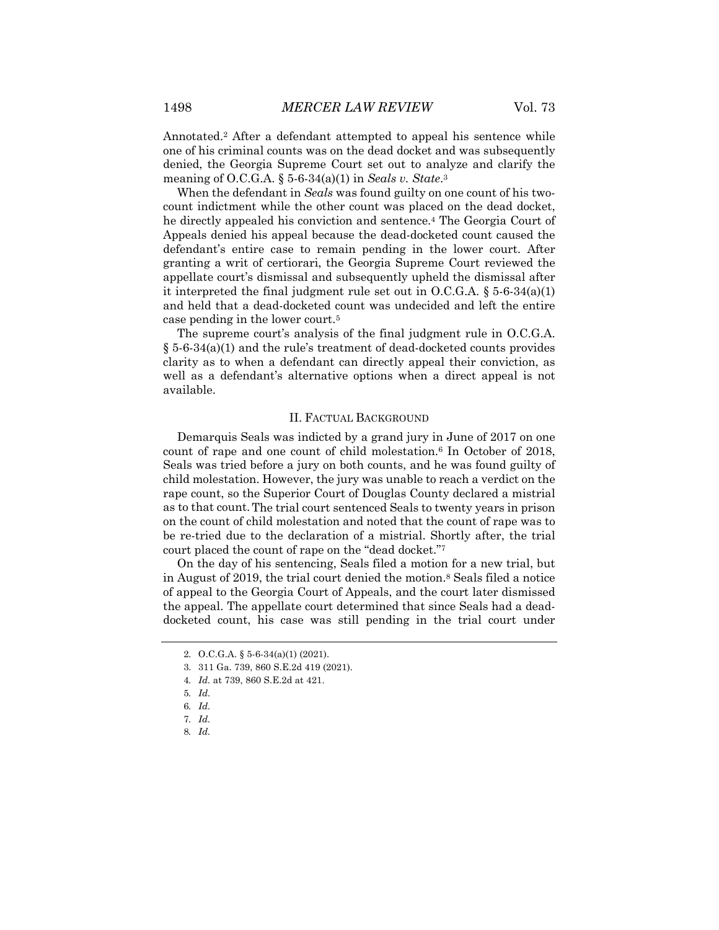Annotated.2 After a defendant attempted to appeal his sentence while one of his criminal counts was on the dead docket and was subsequently denied, the Georgia Supreme Court set out to analyze and clarify the meaning of O.C.G.A. § 5-6-34(a)(1) in *Seals v. State*.3

When the defendant in *Seals* was found guilty on one count of his twocount indictment while the other count was placed on the dead docket, he directly appealed his conviction and sentence.4 The Georgia Court of Appeals denied his appeal because the dead-docketed count caused the defendant's entire case to remain pending in the lower court. After granting a writ of certiorari, the Georgia Supreme Court reviewed the appellate court's dismissal and subsequently upheld the dismissal after it interpreted the final judgment rule set out in  $O.C.G.A.$  § 5-6-34(a)(1) and held that a dead-docketed count was undecided and left the entire case pending in the lower court.5

The supreme court's analysis of the final judgment rule in O.C.G.A. § 5-6-34(a)(1) and the rule's treatment of dead-docketed counts provides clarity as to when a defendant can directly appeal their conviction, as well as a defendant's alternative options when a direct appeal is not available.

#### II. FACTUAL BACKGROUND

Demarquis Seals was indicted by a grand jury in June of 2017 on one count of rape and one count of child molestation.6 In October of 2018, Seals was tried before a jury on both counts, and he was found guilty of child molestation. However, the jury was unable to reach a verdict on the rape count, so the Superior Court of Douglas County declared a mistrial as to that count.The trial court sentenced Seals to twenty years in prison on the count of child molestation and noted that the count of rape was to be re-tried due to the declaration of a mistrial. Shortly after, the trial court placed the count of rape on the "dead docket."7

On the day of his sentencing, Seals filed a motion for a new trial, but in August of 2019, the trial court denied the motion.8 Seals filed a notice of appeal to the Georgia Court of Appeals, and the court later dismissed the appeal. The appellate court determined that since Seals had a deaddocketed count, his case was still pending in the trial court under

3. 311 Ga. 739, 860 S.E.2d 419 (2021).

8*. Id.*

<sup>2.</sup> O.C.G.A. § 5-6-34(a)(1) (2021).

<sup>4</sup>*. Id.* at 739, 860 S.E.2d at 421.

<sup>5</sup>*. Id.*

<sup>6</sup>*. Id.*

<sup>7</sup>*. Id.*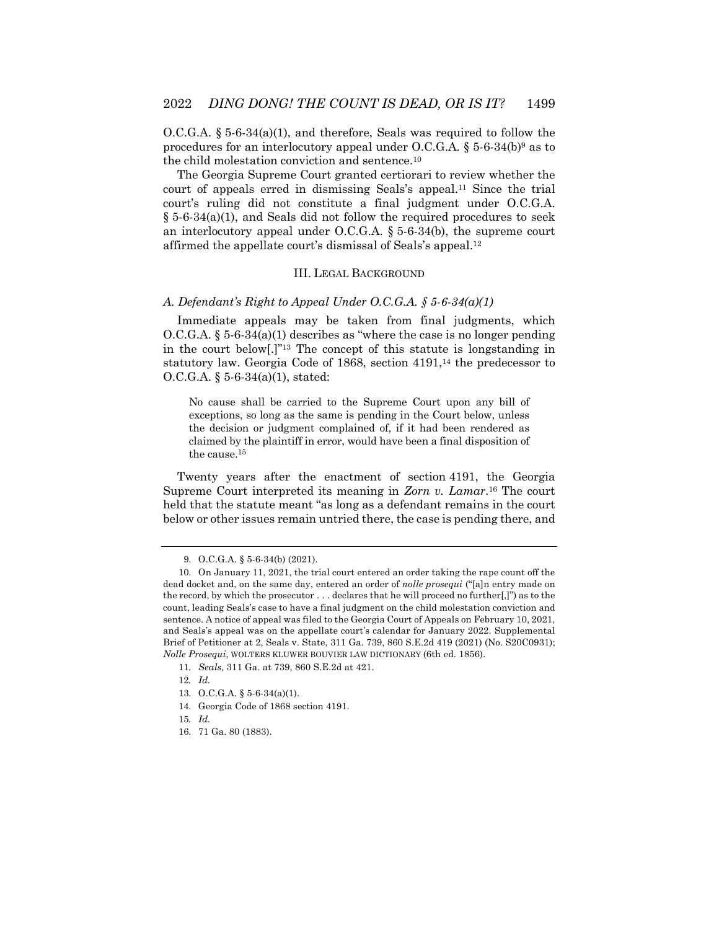$O.C.G.A.$  § 5-6-34(a)(1), and therefore, Seals was required to follow the procedures for an interlocutory appeal under O.C.G.A.  $\S$  5-6-34(b)<sup>9</sup> as to the child molestation conviction and sentence.10

The Georgia Supreme Court granted certiorari to review whether the court of appeals erred in dismissing Seals's appeal.11 Since the trial court's ruling did not constitute a final judgment under O.C.G.A. § 5-6-34(a)(1), and Seals did not follow the required procedures to seek an interlocutory appeal under O.C.G.A. § 5-6-34(b), the supreme court affirmed the appellate court's dismissal of Seals's appeal.12

#### III. LEGAL BACKGROUND

#### *A. Defendant's Right to Appeal Under O.C.G.A. § 5-6-34(a)(1)*

Immediate appeals may be taken from final judgments, which O.C.G.A. § 5-6-34(a)(1) describes as "where the case is no longer pending in the court below[.]"13 The concept of this statute is longstanding in statutory law. Georgia Code of 1868, section 4191,14 the predecessor to O.C.G.A. § 5-6-34(a)(1), stated:

No cause shall be carried to the Supreme Court upon any bill of exceptions, so long as the same is pending in the Court below, unless the decision or judgment complained of, if it had been rendered as claimed by the plaintiff in error, would have been a final disposition of the cause.15

Twenty years after the enactment of section 4191, the Georgia Supreme Court interpreted its meaning in *Zorn v. Lamar*.16 The court held that the statute meant "as long as a defendant remains in the court below or other issues remain untried there, the case is pending there, and

12*. Id.*

- 14. Georgia Code of 1868 section 4191.
- 15*. Id.*
- 16. 71 Ga. 80 (1883).

<sup>9.</sup> O.C.G.A. § 5-6-34(b) (2021).

<sup>10.</sup> On January 11, 2021, the trial court entered an order taking the rape count off the dead docket and, on the same day, entered an order of *nolle prosequi* ("[a]n entry made on the record, by which the prosecutor . . . declares that he will proceed no further[,]") as to the count, leading Seals's case to have a final judgment on the child molestation conviction and sentence. A notice of appeal was filed to the Georgia Court of Appeals on February 10, 2021, and Seals's appeal was on the appellate court's calendar for January 2022. Supplemental Brief of Petitioner at 2, Seals v. State, 311 Ga. 739, 860 S.E.2d 419 (2021) (No. S20C0931); *Nolle Prosequi*, WOLTERS KLUWER BOUVIER LAW DICTIONARY (6th ed. 1856).

<sup>11</sup>*. Seals*, 311 Ga. at 739, 860 S.E.2d at 421.

<sup>13.</sup> O.C.G.A. § 5-6-34(a)(1).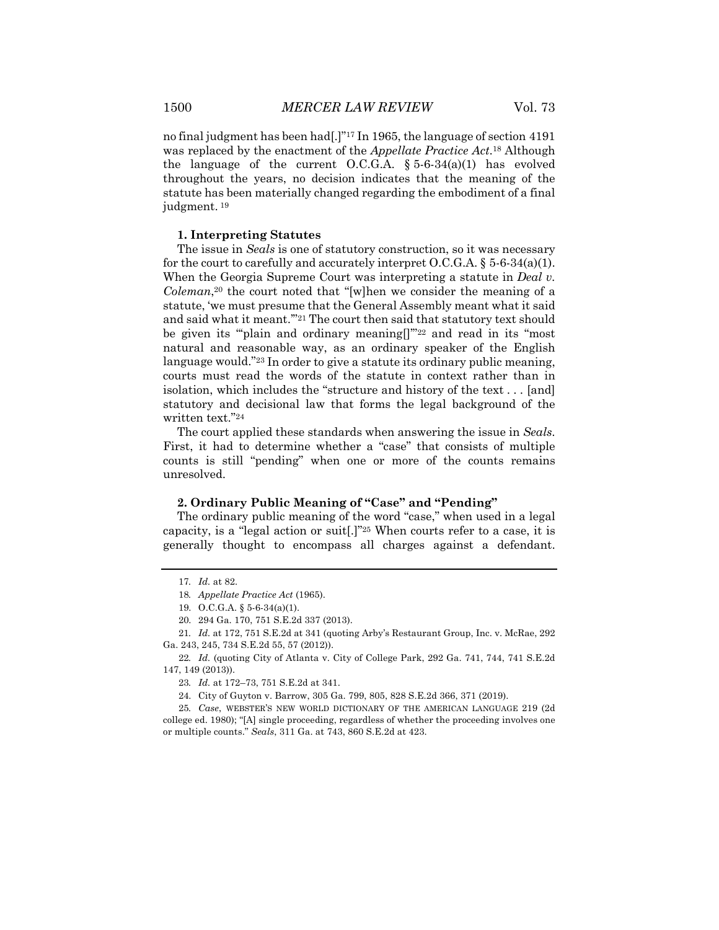no final judgment has been had[.]"17 In 1965, the language of section 4191 was replaced by the enactment of the *Appellate Practice Act*.18 Although the language of the current O.C.G.A.  $\S 5-6-34(a)(1)$  has evolved throughout the years, no decision indicates that the meaning of the statute has been materially changed regarding the embodiment of a final judgment. <sup>19</sup>

#### **1. Interpreting Statutes**

The issue in *Seals* is one of statutory construction, so it was necessary for the court to carefully and accurately interpret  $O.C.G.A.$  § 5-6-34(a)(1). When the Georgia Supreme Court was interpreting a statute in *Deal v. Coleman*,20 the court noted that "[w]hen we consider the meaning of a statute, 'we must presume that the General Assembly meant what it said and said what it meant."<sup>21</sup> The court then said that statutory text should be given its "plain and ordinary meaning<sup>[]"22</sup> and read in its "most" natural and reasonable way, as an ordinary speaker of the English language would."23 In order to give a statute its ordinary public meaning, courts must read the words of the statute in context rather than in isolation, which includes the "structure and history of the text . . . [and] statutory and decisional law that forms the legal background of the written text."24

The court applied these standards when answering the issue in *Seals*. First, it had to determine whether a "case" that consists of multiple counts is still "pending" when one or more of the counts remains unresolved.

#### **2. Ordinary Public Meaning of "Case" and "Pending"**

The ordinary public meaning of the word "case," when used in a legal capacity, is a "legal action or suit[.]"25 When courts refer to a case, it is generally thought to encompass all charges against a defendant.

<sup>17</sup>*. Id.* at 82.

<sup>18</sup>*. Appellate Practice Act* (1965).

<sup>19.</sup> O.C.G.A. § 5-6-34(a)(1).

<sup>20.</sup> 294 Ga. 170, 751 S.E.2d 337 (2013).

<sup>21</sup>*. Id.* at 172, 751 S.E.2d at 341 (quoting Arby's Restaurant Group, Inc. v. McRae, 292 Ga. 243, 245, 734 S.E.2d 55, 57 (2012)).

<sup>22</sup>*. Id.* (quoting City of Atlanta v. City of College Park, 292 Ga. 741, 744, 741 S.E.2d 147, 149 (2013)).

<sup>23</sup>*. Id.* at 172–73, 751 S.E.2d at 341.

<sup>24.</sup> City of Guyton v. Barrow, 305 Ga. 799, 805, 828 S.E.2d 366, 371 (2019).

<sup>25</sup>*. Case*, WEBSTER'S NEW WORLD DICTIONARY OF THE AMERICAN LANGUAGE 219 (2d college ed. 1980); "[A] single proceeding, regardless of whether the proceeding involves one or multiple counts." *Seals*, 311 Ga. at 743, 860 S.E.2d at 423.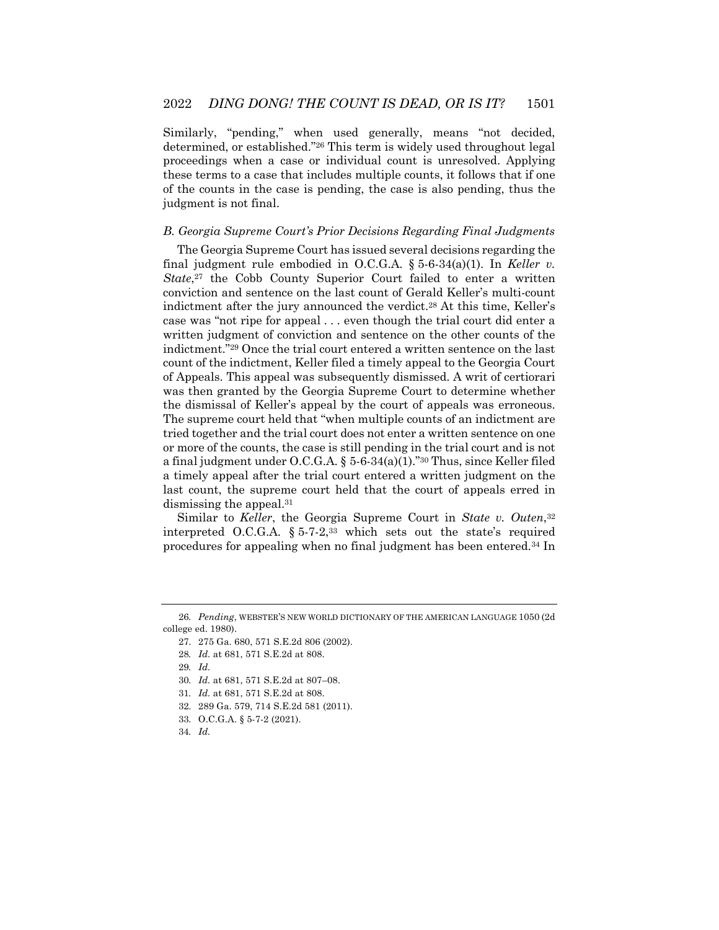Similarly, "pending," when used generally, means "not decided, determined, or established."26 This term is widely used throughout legal proceedings when a case or individual count is unresolved. Applying these terms to a case that includes multiple counts, it follows that if one of the counts in the case is pending, the case is also pending, thus the judgment is not final.

#### *B. Georgia Supreme Court's Prior Decisions Regarding Final Judgments*

The Georgia Supreme Court has issued several decisions regarding the final judgment rule embodied in O.C.G.A. § 5-6-34(a)(1). In *Keller v. State*,27 the Cobb County Superior Court failed to enter a written conviction and sentence on the last count of Gerald Keller's multi-count indictment after the jury announced the verdict.28 At this time, Keller's case was "not ripe for appeal . . . even though the trial court did enter a written judgment of conviction and sentence on the other counts of the indictment."29 Once the trial court entered a written sentence on the last count of the indictment, Keller filed a timely appeal to the Georgia Court of Appeals. This appeal was subsequently dismissed. A writ of certiorari was then granted by the Georgia Supreme Court to determine whether the dismissal of Keller's appeal by the court of appeals was erroneous. The supreme court held that "when multiple counts of an indictment are tried together and the trial court does not enter a written sentence on one or more of the counts, the case is still pending in the trial court and is not a final judgment under O.C.G.A. § 5-6-34(a)(1)."30 Thus, since Keller filed a timely appeal after the trial court entered a written judgment on the last count, the supreme court held that the court of appeals erred in dismissing the appeal.31

Similar to *Keller*, the Georgia Supreme Court in *State v. Outen*,32 interpreted O.C.G.A. § 5-7-2,33 which sets out the state's required procedures for appealing when no final judgment has been entered.34 In

<sup>26</sup>*. Pending*, WEBSTER'S NEW WORLD DICTIONARY OF THE AMERICAN LANGUAGE 1050 (2d college ed. 1980).

<sup>27.</sup> 275 Ga. 680, 571 S.E.2d 806 (2002).

<sup>28</sup>*. Id.* at 681, 571 S.E.2d at 808.

<sup>29</sup>*. Id.*

<sup>30</sup>*. Id.* at 681, 571 S.E.2d at 807–08.

<sup>31</sup>*. Id.* at 681, 571 S.E.2d at 808.

<sup>32.</sup> 289 Ga. 579, 714 S.E.2d 581 (2011).

<sup>33.</sup> O.C.G.A. § 5-7-2 (2021).

<sup>34</sup>*. Id.*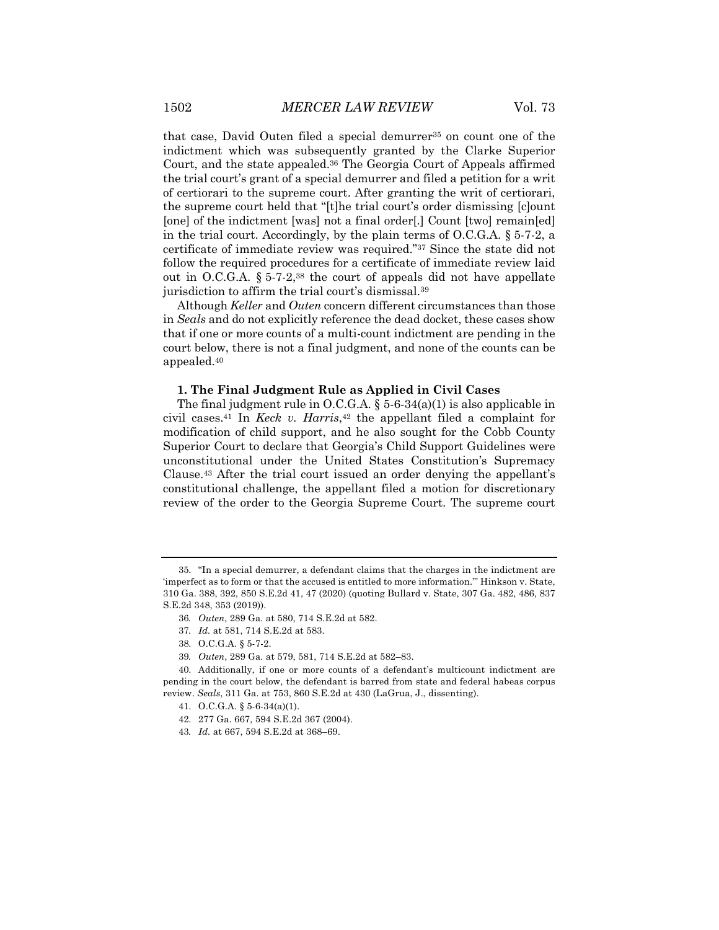that case, David Outen filed a special demurrer<sup>35</sup> on count one of the indictment which was subsequently granted by the Clarke Superior Court, and the state appealed.36 The Georgia Court of Appeals affirmed the trial court's grant of a special demurrer and filed a petition for a writ of certiorari to the supreme court. After granting the writ of certiorari, the supreme court held that "[t]he trial court's order dismissing [c]ount [one] of the indictment [was] not a final order[.] Count [two] remain[ed] in the trial court. Accordingly, by the plain terms of O.C.G.A. § 5-7-2, a certificate of immediate review was required."37 Since the state did not follow the required procedures for a certificate of immediate review laid out in O.C.G.A.  $\S 5$ -7-2,<sup>38</sup> the court of appeals did not have appellate jurisdiction to affirm the trial court's dismissal.39

Although *Keller* and *Outen* concern different circumstances than those in *Seals* and do not explicitly reference the dead docket, these cases show that if one or more counts of a multi-count indictment are pending in the court below, there is not a final judgment, and none of the counts can be appealed.40

#### **1. The Final Judgment Rule as Applied in Civil Cases**

The final judgment rule in O.C.G.A.  $\S$  5-6-34(a)(1) is also applicable in civil cases.41 In *Keck v. Harris*,42 the appellant filed a complaint for modification of child support, and he also sought for the Cobb County Superior Court to declare that Georgia's Child Support Guidelines were unconstitutional under the United States Constitution's Supremacy Clause.43 After the trial court issued an order denying the appellant's constitutional challenge, the appellant filed a motion for discretionary review of the order to the Georgia Supreme Court. The supreme court

42. 277 Ga. 667, 594 S.E.2d 367 (2004).

<sup>35.</sup> "In a special demurrer, a defendant claims that the charges in the indictment are 'imperfect as to form or that the accused is entitled to more information.'" Hinkson v. State, 310 Ga. 388, 392, 850 S.E.2d 41, 47 (2020) (quoting Bullard v. State, 307 Ga. 482, 486, 837 S.E.2d 348, 353 (2019)).

<sup>36</sup>*. Outen*, 289 Ga. at 580, 714 S.E.2d at 582.

<sup>37</sup>*. Id.* at 581, 714 S.E.2d at 583.

<sup>38.</sup> O.C.G.A. § 5-7-2.

<sup>39</sup>*. Outen*, 289 Ga. at 579, 581, 714 S.E.2d at 582–83.

<sup>40.</sup> Additionally, if one or more counts of a defendant's multicount indictment are pending in the court below, the defendant is barred from state and federal habeas corpus review. *Seals*, 311 Ga. at 753, 860 S.E.2d at 430 (LaGrua, J., dissenting).

<sup>41.</sup> O.C.G.A. § 5-6-34(a)(1).

<sup>43</sup>*. Id.* at 667, 594 S.E.2d at 368–69.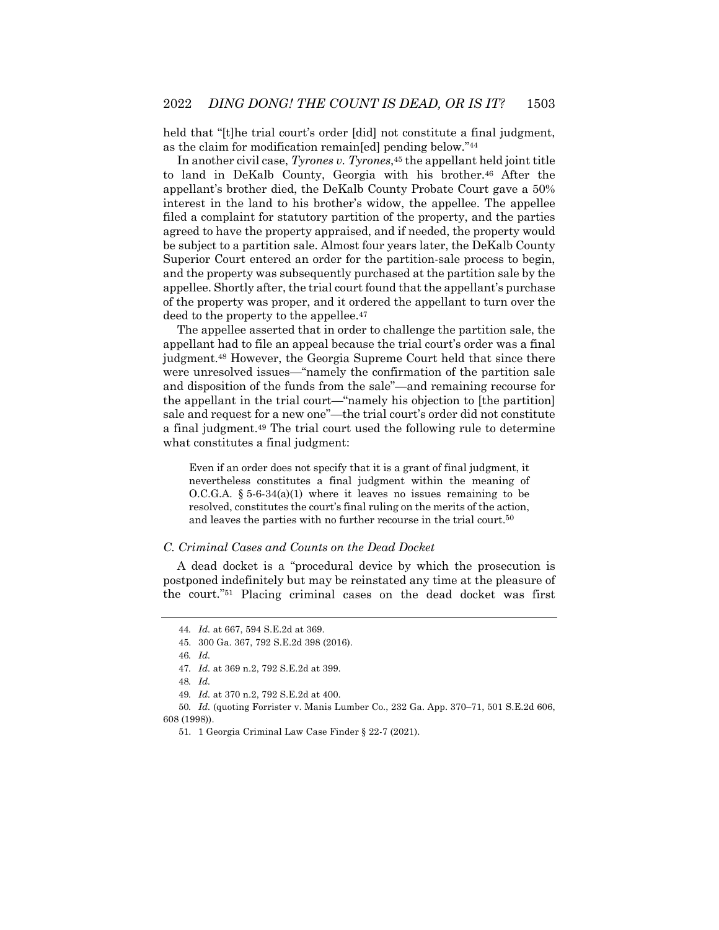held that "[t]he trial court's order [did] not constitute a final judgment, as the claim for modification remain[ed] pending below."44

In another civil case, *Tyrones v. Tyrones*,<sup>45</sup> the appellant held joint title to land in DeKalb County, Georgia with his brother.46 After the appellant's brother died, the DeKalb County Probate Court gave a 50% interest in the land to his brother's widow, the appellee. The appellee filed a complaint for statutory partition of the property, and the parties agreed to have the property appraised, and if needed, the property would be subject to a partition sale. Almost four years later, the DeKalb County Superior Court entered an order for the partition-sale process to begin, and the property was subsequently purchased at the partition sale by the appellee. Shortly after, the trial court found that the appellant's purchase of the property was proper, and it ordered the appellant to turn over the deed to the property to the appellee.<sup>47</sup>

The appellee asserted that in order to challenge the partition sale, the appellant had to file an appeal because the trial court's order was a final judgment.48 However, the Georgia Supreme Court held that since there were unresolved issues—"namely the confirmation of the partition sale and disposition of the funds from the sale"—and remaining recourse for the appellant in the trial court—"namely his objection to [the partition] sale and request for a new one"—the trial court's order did not constitute a final judgment.49 The trial court used the following rule to determine what constitutes a final judgment:

Even if an order does not specify that it is a grant of final judgment, it nevertheless constitutes a final judgment within the meaning of O.C.G.A.  $\S 5-6-34(a)(1)$  where it leaves no issues remaining to be resolved, constitutes the court's final ruling on the merits of the action, and leaves the parties with no further recourse in the trial court.<sup>50</sup>

#### *C. Criminal Cases and Counts on the Dead Docket*

A dead docket is a "procedural device by which the prosecution is postponed indefinitely but may be reinstated any time at the pleasure of the court."51 Placing criminal cases on the dead docket was first

<sup>44</sup>*. Id.* at 667, 594 S.E.2d at 369.

<sup>45.</sup> 300 Ga. 367, 792 S.E.2d 398 (2016).

<sup>46</sup>*. Id.*

<sup>47</sup>*. Id.* at 369 n.2, 792 S.E.2d at 399.

<sup>48</sup>*. Id.*

<sup>49</sup>*. Id.* at 370 n.2, 792 S.E.2d at 400.

<sup>50</sup>*. Id.* (quoting Forrister v. Manis Lumber Co., 232 Ga. App. 370–71, 501 S.E.2d 606, 608 (1998)).

<sup>51.</sup> 1 Georgia Criminal Law Case Finder § 22-7 (2021).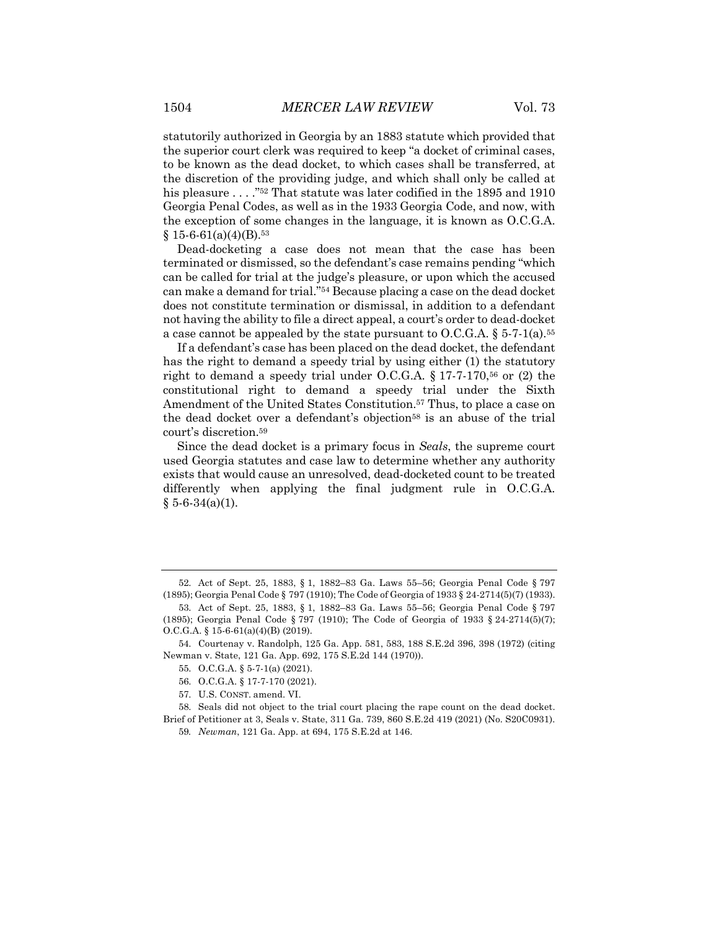statutorily authorized in Georgia by an 1883 statute which provided that the superior court clerk was required to keep "a docket of criminal cases, to be known as the dead docket, to which cases shall be transferred, at the discretion of the providing judge, and which shall only be called at his pleasure . . . . "<sup>52</sup> That statute was later codified in the 1895 and 1910 Georgia Penal Codes, as well as in the 1933 Georgia Code, and now, with the exception of some changes in the language, it is known as O.C.G.A.  $$15-6-61(a)(4)(B).$ <sup>53</sup>

Dead-docketing a case does not mean that the case has been terminated or dismissed, so the defendant's case remains pending "which can be called for trial at the judge's pleasure, or upon which the accused can make a demand for trial."54 Because placing a case on the dead docket does not constitute termination or dismissal, in addition to a defendant not having the ability to file a direct appeal, a court's order to dead-docket a case cannot be appealed by the state pursuant to O.C.G.A.  $\S 5-7-1$ (a).<sup>55</sup>

If a defendant's case has been placed on the dead docket, the defendant has the right to demand a speedy trial by using either (1) the statutory right to demand a speedy trial under O.C.G.A.  $\S 17$ -7-170,<sup>56</sup> or (2) the constitutional right to demand a speedy trial under the Sixth Amendment of the United States Constitution.<sup>57</sup> Thus, to place a case on the dead docket over a defendant's objection<sup>58</sup> is an abuse of the trial court's discretion.59

Since the dead docket is a primary focus in *Seals*, the supreme court used Georgia statutes and case law to determine whether any authority exists that would cause an unresolved, dead-docketed count to be treated differently when applying the final judgment rule in O.C.G.A.  $§ 5-6-34(a)(1).$ 

<sup>52.</sup> Act of Sept. 25, 1883, § 1, 1882–83 Ga. Laws 55–56; Georgia Penal Code § 797 (1895); Georgia Penal Code § 797 (1910); The Code of Georgia of 1933 § 24-2714(5)(7) (1933).

<sup>53.</sup> Act of Sept. 25, 1883, § 1, 1882–83 Ga. Laws 55–56; Georgia Penal Code § 797 (1895); Georgia Penal Code § 797 (1910); The Code of Georgia of 1933 § 24-2714(5)(7); O.C.G.A. § 15-6-61(a)(4)(B) (2019).

<sup>54.</sup> Courtenay v. Randolph, 125 Ga. App. 581, 583, 188 S.E.2d 396, 398 (1972) (citing Newman v. State, 121 Ga. App. 692, 175 S.E.2d 144 (1970)).

<sup>55.</sup> O.C.G.A. § 5-7-1(a) (2021).

<sup>56.</sup> O.C.G.A. § 17-7-170 (2021).

<sup>57.</sup> U.S. CONST. amend. VI.

<sup>58.</sup> Seals did not object to the trial court placing the rape count on the dead docket. Brief of Petitioner at 3, Seals v. State, 311 Ga. 739, 860 S.E.2d 419 (2021) (No. S20C0931).

<sup>59</sup>*. Newman*, 121 Ga. App. at 694, 175 S.E.2d at 146.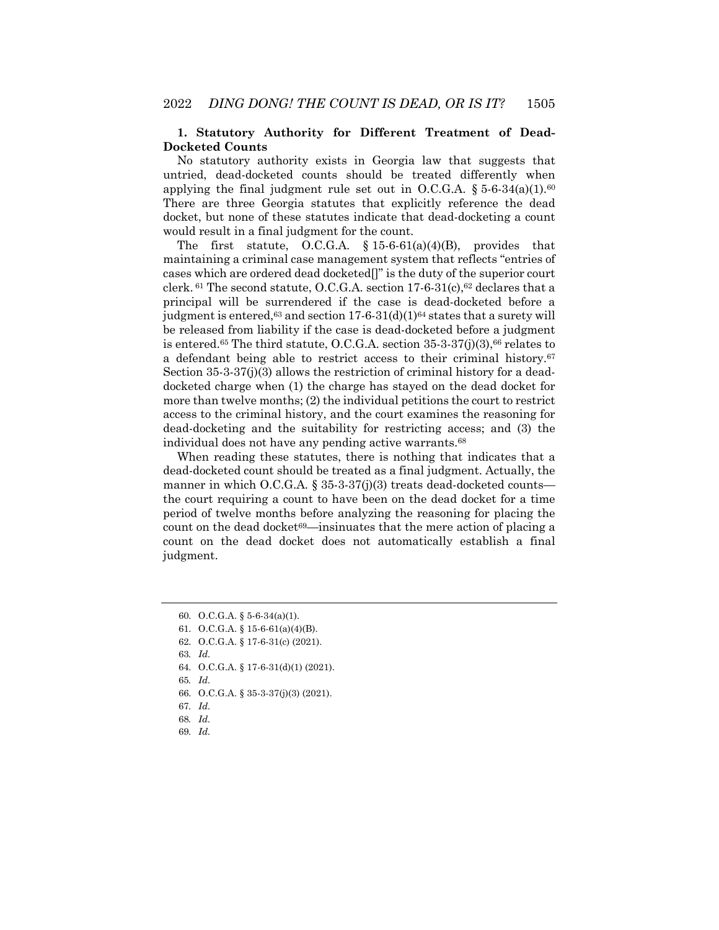#### **1. Statutory Authority for Different Treatment of Dead-Docketed Counts**

No statutory authority exists in Georgia law that suggests that untried, dead-docketed counts should be treated differently when applying the final judgment rule set out in O.C.G.A.  $\S 5-6-34(a)(1).60$ There are three Georgia statutes that explicitly reference the dead docket, but none of these statutes indicate that dead-docketing a count would result in a final judgment for the count.

The first statute, O.C.G.A.  $\S 15-6-61(a)(4)(B)$ , provides that maintaining a criminal case management system that reflects "entries of cases which are ordered dead docketed[]" is the duty of the superior court clerk.  $61$  The second statute, O.C.G.A. section 17-6-31(c),  $62$  declares that a principal will be surrendered if the case is dead-docketed before a judgment is entered,<sup>63</sup> and section  $17-6-31(d)(1)^{64}$  states that a surety will be released from liability if the case is dead-docketed before a judgment is entered.<sup>65</sup> The third statute, O.C.G.A. section  $35-3-37(i)(3)$ ,  $66$  relates to a defendant being able to restrict access to their criminal history.67 Section 35-3-37(j)(3) allows the restriction of criminal history for a deaddocketed charge when (1) the charge has stayed on the dead docket for more than twelve months; (2) the individual petitions the court to restrict access to the criminal history, and the court examines the reasoning for dead-docketing and the suitability for restricting access; and (3) the individual does not have any pending active warrants.68

When reading these statutes, there is nothing that indicates that a dead-docketed count should be treated as a final judgment. Actually, the manner in which O.C.G.A.  $\S 35-3-37(j)(3)$  treats dead-docketed counts the court requiring a count to have been on the dead docket for a time period of twelve months before analyzing the reasoning for placing the count on the dead docket<sup>69</sup>—insinuates that the mere action of placing a count on the dead docket does not automatically establish a final judgment.

62. O.C.G.A. § 17-6-31(c) (2021).

64. O.C.G.A. § 17-6-31(d)(1) (2021).

65*. Id.*

- 66. O.C.G.A. § 35-3-37(j)(3) (2021).
- 67*. Id.*
- 68*. Id.*
- 69*. Id.*

<sup>60.</sup> O.C.G.A. § 5-6-34(a)(1).

<sup>61.</sup> O.C.G.A. § 15-6-61(a)(4)(B).

<sup>63</sup>*. Id.*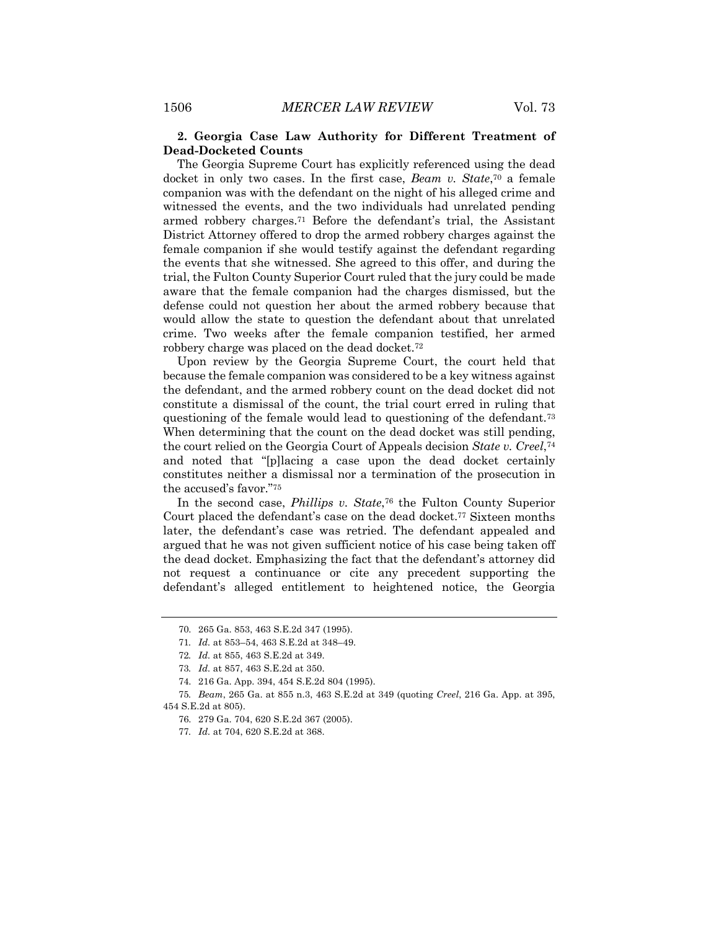#### **2. Georgia Case Law Authority for Different Treatment of Dead-Docketed Counts**

The Georgia Supreme Court has explicitly referenced using the dead docket in only two cases. In the first case, *Beam v. State*,70 a female companion was with the defendant on the night of his alleged crime and witnessed the events, and the two individuals had unrelated pending armed robbery charges.71 Before the defendant's trial, the Assistant District Attorney offered to drop the armed robbery charges against the female companion if she would testify against the defendant regarding the events that she witnessed. She agreed to this offer, and during the trial, the Fulton County Superior Court ruled that the jury could be made aware that the female companion had the charges dismissed, but the defense could not question her about the armed robbery because that would allow the state to question the defendant about that unrelated crime. Two weeks after the female companion testified, her armed robbery charge was placed on the dead docket.72

Upon review by the Georgia Supreme Court, the court held that because the female companion was considered to be a key witness against the defendant, and the armed robbery count on the dead docket did not constitute a dismissal of the count, the trial court erred in ruling that questioning of the female would lead to questioning of the defendant.73 When determining that the count on the dead docket was still pending, the court relied on the Georgia Court of Appeals decision *State v. Creel*,74 and noted that "[p]lacing a case upon the dead docket certainly constitutes neither a dismissal nor a termination of the prosecution in the accused's favor."75

In the second case, *Phillips v. State*,76 the Fulton County Superior Court placed the defendant's case on the dead docket.<sup>77</sup> Sixteen months later, the defendant's case was retried. The defendant appealed and argued that he was not given sufficient notice of his case being taken off the dead docket. Emphasizing the fact that the defendant's attorney did not request a continuance or cite any precedent supporting the defendant's alleged entitlement to heightened notice, the Georgia

<sup>70.</sup> 265 Ga. 853, 463 S.E.2d 347 (1995).

<sup>71</sup>*. Id.* at 853–54, 463 S.E.2d at 348–49.

<sup>72</sup>*. Id.* at 855, 463 S.E.2d at 349.

<sup>73</sup>*. Id.* at 857, 463 S.E.2d at 350.

<sup>74.</sup> 216 Ga. App. 394, 454 S.E.2d 804 (1995).

<sup>75</sup>*. Beam*, 265 Ga. at 855 n.3, 463 S.E.2d at 349 (quoting *Creel*, 216 Ga. App. at 395, 454 S.E.2d at 805).

<sup>76.</sup> 279 Ga. 704, 620 S.E.2d 367 (2005).

<sup>77</sup>*. Id.* at 704, 620 S.E.2d at 368.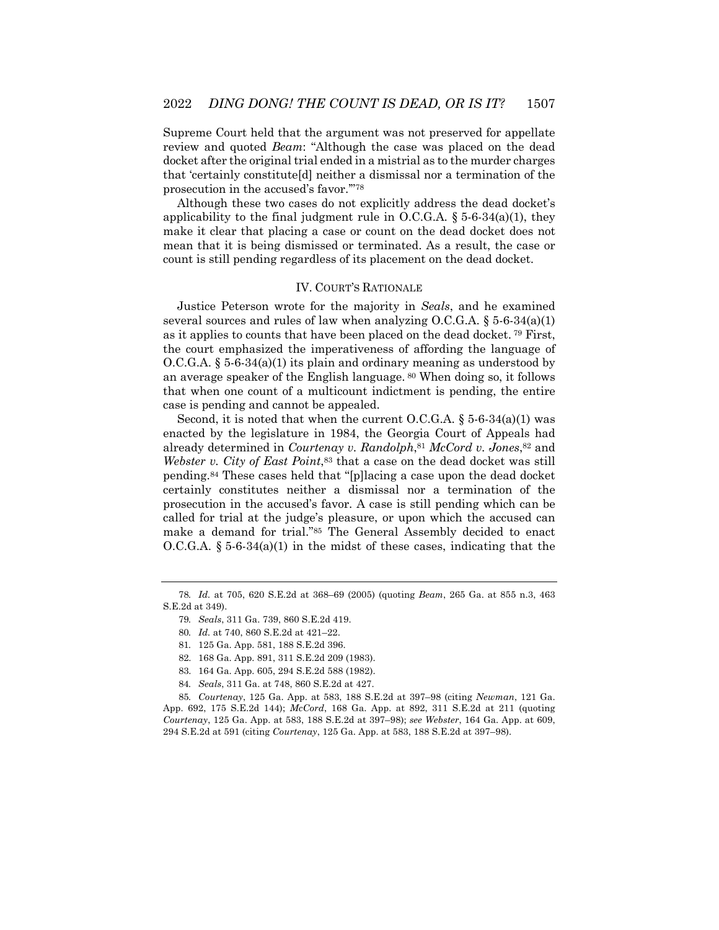Supreme Court held that the argument was not preserved for appellate review and quoted *Beam*: "Although the case was placed on the dead docket after the original trial ended in a mistrial as to the murder charges that 'certainly constitute[d] neither a dismissal nor a termination of the prosecution in the accused's favor.'"78

Although these two cases do not explicitly address the dead docket's applicability to the final judgment rule in O.C.G.A.  $\S$  5-6-34(a)(1), they make it clear that placing a case or count on the dead docket does not mean that it is being dismissed or terminated. As a result, the case or count is still pending regardless of its placement on the dead docket.

#### IV. COURT'S RATIONALE

Justice Peterson wrote for the majority in *Seals*, and he examined several sources and rules of law when analyzing O.C.G.A.  $\S 5-6-34(a)(1)$ as it applies to counts that have been placed on the dead docket. <sup>79</sup> First, the court emphasized the imperativeness of affording the language of  $O.C.G.A. § 5-6-34(a)(1)$  its plain and ordinary meaning as understood by an average speaker of the English language. <sup>80</sup> When doing so, it follows that when one count of a multicount indictment is pending, the entire case is pending and cannot be appealed.

Second, it is noted that when the current O.C.G.A.  $\S$  5-6-34(a)(1) was enacted by the legislature in 1984, the Georgia Court of Appeals had already determined in *Courtenay v. Randolph*,81 *McCord v. Jones*,82 and *Webster v. City of East Point*,<sup>83</sup> that a case on the dead docket was still pending.84 These cases held that "[p]lacing a case upon the dead docket certainly constitutes neither a dismissal nor a termination of the prosecution in the accused's favor. A case is still pending which can be called for trial at the judge's pleasure, or upon which the accused can make a demand for trial."85 The General Assembly decided to enact O.C.G.A.  $\S 5-6-34(a)(1)$  in the midst of these cases, indicating that the

84*. Seals*, 311 Ga. at 748, 860 S.E.2d at 427.

85*. Courtenay*, 125 Ga. App. at 583, 188 S.E.2d at 397–98 (citing *Newman*, 121 Ga. App. 692, 175 S.E.2d 144); *McCord*, 168 Ga. App. at 892, 311 S.E.2d at 211 (quoting *Courtenay*, 125 Ga. App. at 583, 188 S.E.2d at 397–98); *see Webster*, 164 Ga. App. at 609, 294 S.E.2d at 591 (citing *Courtenay*, 125 Ga. App. at 583, 188 S.E.2d at 397–98).

<sup>78</sup>*. Id.* at 705, 620 S.E.2d at 368–69 (2005) (quoting *Beam*, 265 Ga. at 855 n.3, 463 S.E.2d at 349).

<sup>79</sup>*. Seals*, 311 Ga. 739, 860 S.E.2d 419.

<sup>80</sup>*. Id.* at 740, 860 S.E.2d at 421–22.

<sup>81</sup>*.* 125 Ga. App. 581, 188 S.E.2d 396.

<sup>82.</sup> 168 Ga. App. 891, 311 S.E.2d 209 (1983).

<sup>83.</sup> 164 Ga. App. 605, 294 S.E.2d 588 (1982).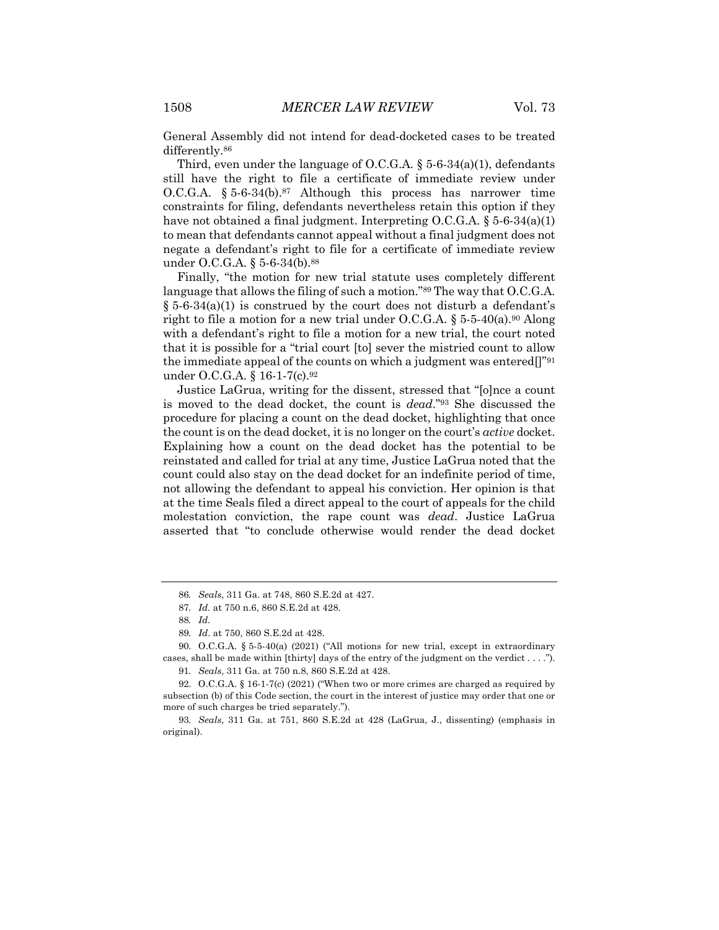General Assembly did not intend for dead-docketed cases to be treated differently.<sup>86</sup>

Third, even under the language of O.C.G.A. § 5-6-34(a)(1), defendants still have the right to file a certificate of immediate review under O.C.G.A. § 5-6-34(b).87 Although this process has narrower time constraints for filing, defendants nevertheless retain this option if they have not obtained a final judgment. Interpreting  $O.C.G.A.$  § 5-6-34(a)(1) to mean that defendants cannot appeal without a final judgment does not negate a defendant's right to file for a certificate of immediate review under O.C.G.A. § 5-6-34(b).<sup>88</sup>

Finally, "the motion for new trial statute uses completely different language that allows the filing of such a motion."<sup>89</sup> The way that O.C.G.A.  $\S 5-6-34(a)(1)$  is construed by the court does not disturb a defendant's right to file a motion for a new trial under O.C.G.A.  $\S 5-5-40(a)$ .<sup>90</sup> Along with a defendant's right to file a motion for a new trial, the court noted that it is possible for a "trial court [to] sever the mistried count to allow the immediate appeal of the counts on which a judgment was entered[]"91 under O.C.G.A. § 16-1-7(c).<sup>92</sup>

Justice LaGrua, writing for the dissent, stressed that "[o]nce a count is moved to the dead docket, the count is *dead*."93 She discussed the procedure for placing a count on the dead docket, highlighting that once the count is on the dead docket, it is no longer on the court's *active* docket. Explaining how a count on the dead docket has the potential to be reinstated and called for trial at any time, Justice LaGrua noted that the count could also stay on the dead docket for an indefinite period of time, not allowing the defendant to appeal his conviction. Her opinion is that at the time Seals filed a direct appeal to the court of appeals for the child molestation conviction, the rape count was *dead*. Justice LaGrua asserted that "to conclude otherwise would render the dead docket

<sup>86</sup>*. Seals*, 311 Ga. at 748, 860 S.E.2d at 427.

<sup>87</sup>*. Id.* at 750 n.6, 860 S.E.2d at 428.

<sup>88</sup>*. Id.*

<sup>89</sup>*. Id*. at 750, 860 S.E.2d at 428.

<sup>90.</sup> O.C.G.A. § 5-5-40(a) (2021) ("All motions for new trial, except in extraordinary cases, shall be made within [thirty] days of the entry of the judgment on the verdict . . . ."). 91*. Seals*, 311 Ga. at 750 n.8, 860 S.E.2d at 428.

<sup>92.</sup> O.C.G.A. § 16-1-7(c) (2021) ("When two or more crimes are charged as required by

subsection (b) of this Code section, the court in the interest of justice may order that one or more of such charges be tried separately.").

<sup>93</sup>*. Seals*, 311 Ga. at 751, 860 S.E.2d at 428 (LaGrua, J., dissenting) (emphasis in original).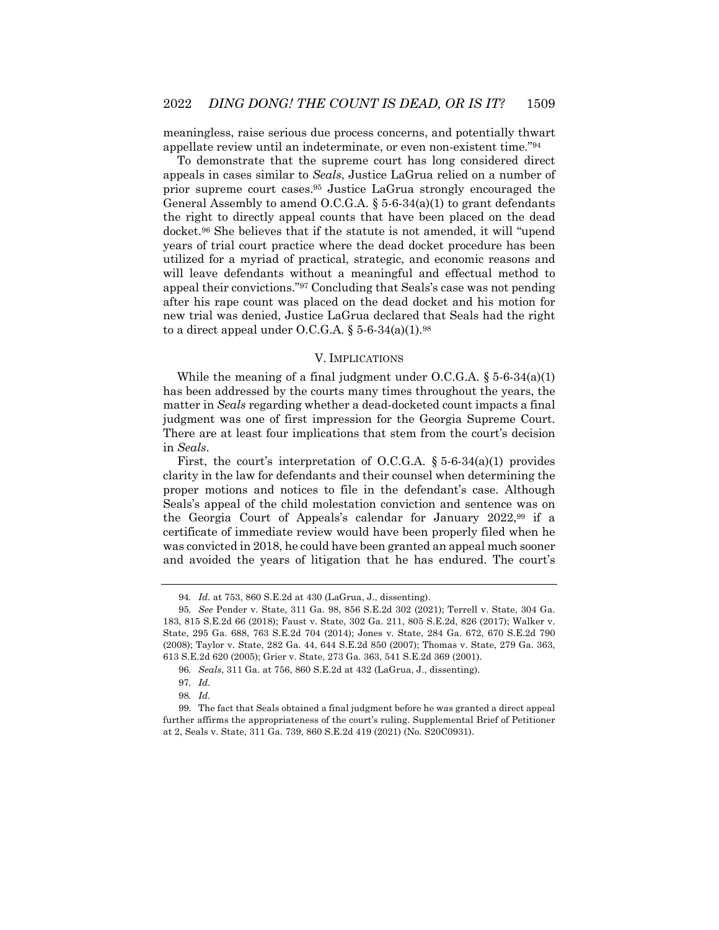meaningless, raise serious due process concerns, and potentially thwart appellate review until an indeterminate, or even non-existent time."94

To demonstrate that the supreme court has long considered direct appeals in cases similar to *Seals*, Justice LaGrua relied on a number of prior supreme court cases.95 Justice LaGrua strongly encouraged the General Assembly to amend O.C.G.A.  $\S$  5-6-34(a)(1) to grant defendants the right to directly appeal counts that have been placed on the dead docket.96 She believes that if the statute is not amended, it will "upend years of trial court practice where the dead docket procedure has been utilized for a myriad of practical, strategic, and economic reasons and will leave defendants without a meaningful and effectual method to appeal their convictions."97 Concluding that Seals's case was not pending after his rape count was placed on the dead docket and his motion for new trial was denied, Justice LaGrua declared that Seals had the right to a direct appeal under O.C.G.A.  $\S 5$ -6-34(a)(1).<sup>98</sup>

#### V. IMPLICATIONS

While the meaning of a final judgment under  $O.C.G.A. \S 5-6-34(a)(1)$ has been addressed by the courts many times throughout the years, the matter in *Seals* regarding whether a dead-docketed count impacts a final judgment was one of first impression for the Georgia Supreme Court. There are at least four implications that stem from the court's decision in *Seals*.

First, the court's interpretation of O.C.G.A.  $\S 5-6-34(a)(1)$  provides clarity in the law for defendants and their counsel when determining the proper motions and notices to file in the defendant's case. Although Seals's appeal of the child molestation conviction and sentence was on the Georgia Court of Appeals's calendar for January 2022,99 if a certificate of immediate review would have been properly filed when he was convicted in 2018, he could have been granted an appeal much sooner and avoided the years of litigation that he has endured. The court's

<sup>94</sup>*. Id.* at 753, 860 S.E.2d at 430 (LaGrua, J., dissenting).

<sup>95</sup>*. See* Pender v. State, 311 Ga. 98, 856 S.E.2d 302 (2021); Terrell v. State, 304 Ga. 183, 815 S.E.2d 66 (2018); Faust v. State, 302 Ga. 211, 805 S.E.2d, 826 (2017); Walker v. State, 295 Ga. 688, 763 S.E.2d 704 (2014); Jones v. State, 284 Ga. 672, 670 S.E.2d 790 (2008); Taylor v. State, 282 Ga. 44, 644 S.E.2d 850 (2007); Thomas v. State, 279 Ga. 363, 613 S.E.2d 620 (2005); Grier v. State, 273 Ga. 363, 541 S.E.2d 369 (2001).

<sup>96</sup>*. Seals*, 311 Ga. at 756, 860 S.E.2d at 432 (LaGrua, J., dissenting).

<sup>97</sup>*. Id.*

<sup>98</sup>*. Id.*

<sup>99.</sup> The fact that Seals obtained a final judgment before he was granted a direct appeal further affirms the appropriateness of the court's ruling. Supplemental Brief of Petitioner at 2, Seals v. State, 311 Ga. 739, 860 S.E.2d 419 (2021) (No. S20C0931).